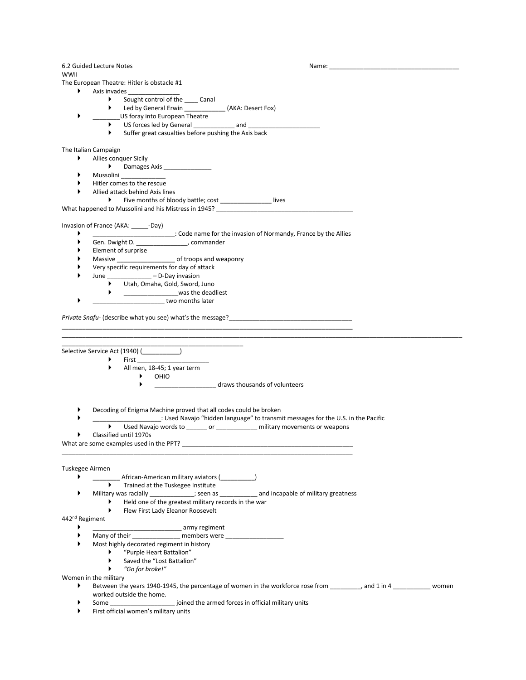6.2 Guided Lecture Notes Name:

WWII

The European Theatre: Hitler is obstacle #1

- Axis invades \_\_\_\_\_\_\_\_\_\_\_\_\_\_\_
	- Sought control of the Canal
	- ▶ Led by General Erwin \_\_\_\_\_\_\_\_\_\_\_\_\_\_ (AKA: Desert Fox)
	- \_\_\_\_\_\_\_\_US foray into European Theatre
		- US forces led by General and and  $\overline{a}$
		- $\blacktriangleright$  Suffer great casualties before pushing the Axis back

The Italian Campaign

- Allies conquer Sicily
- Damages Axis \_\_\_\_\_\_\_\_\_\_\_\_\_\_
- → Mussolini<br>► Hitler.comes
- $\blacktriangleright$  Hitler comes to the rescue<br> $\blacktriangleright$  Allied attack behind Axis link
- Allied attack behind Axis lines
- Five months of bloody battle; cost Fives What happened to Mussolini and his Mistress in 1945?

Invasion of France (AKA: \_\_\_\_\_-Day)

- \_\_\_\_\_\_\_\_\_\_\_\_\_\_\_\_\_\_\_\_\_\_\_\_: Code name for the invasion of Normandy, France by the Allies
- Gen. Dwight D. \_\_\_\_\_\_\_\_\_\_\_\_\_\_\_, commander
- Element of surprise<br>
Massive
- Massive \_\_\_\_\_\_\_\_\_\_\_\_\_\_\_\_\_\_\_\_\_\_\_\_ of troops and weaponry
- Very specific requirements for day of attack
- June \_\_\_\_\_\_\_\_\_\_\_\_\_ D-Day invasion
	- Utah, Omaha, Gold, Sword, Juno
	- **A** \_\_\_\_\_\_\_\_\_\_\_\_\_\_\_\_\_\_\_\_\_\_\_\_\_\_was the deadliest
	- two months later

*Private Snafu*- (describe what you see) what's the message?

\_\_\_\_\_\_\_\_\_\_\_\_\_\_\_\_\_\_\_\_\_\_\_\_\_\_\_\_\_\_\_\_\_\_\_\_\_\_\_\_\_\_\_\_\_\_\_\_\_\_\_\_\_ Selective Service Act (1940) (  $\qquad \qquad$  )

- First \_\_\_\_\_\_\_\_\_\_\_\_\_\_\_\_\_\_\_\_\_
- All men, 18-45; 1 year term
	- OHIO
		- \_\_\_\_\_\_\_\_\_\_\_\_\_\_\_\_\_\_ draws thousands of volunteers

\_\_\_\_\_\_\_\_\_\_\_\_\_\_\_\_\_\_\_\_\_\_\_\_\_\_\_\_\_\_\_\_\_\_\_\_\_\_\_\_\_\_\_\_\_\_\_\_\_\_\_\_\_\_\_\_\_\_\_\_\_\_\_\_\_\_\_\_\_\_\_\_\_\_\_\_\_\_\_\_\_\_\_\_\_

- Decoding of Enigma Machine proved that all codes could be broken
- \_\_\_\_\_\_\_\_\_\_\_\_\_\_\_\_\_\_\_\_: Used Navajo "hidden language" to transmit messages for the U.S. in the Pacific

\_\_\_\_\_\_\_\_\_\_\_\_\_\_\_\_\_\_\_\_\_\_\_\_\_\_\_\_\_\_\_\_\_\_\_\_\_\_\_\_\_\_\_\_\_\_\_\_\_\_\_\_\_\_\_\_\_\_\_\_\_\_\_\_\_\_\_\_\_\_\_\_\_\_\_\_\_\_\_\_\_\_\_\_\_\_\_\_\_\_\_\_\_\_\_\_\_\_\_\_\_\_\_\_\_\_\_\_\_\_\_\_\_\_\_\_\_

Used Navajo words to \_\_\_\_\_\_ or \_\_\_\_\_\_\_\_\_\_\_\_ military movements or weapons

\_\_\_\_\_\_\_\_\_\_\_\_\_\_\_\_\_\_\_\_\_\_\_\_\_\_\_\_\_\_\_\_\_\_\_\_\_\_\_\_\_\_\_\_\_\_\_\_\_\_\_\_\_\_\_\_\_\_\_\_\_\_\_\_\_\_\_\_\_\_\_\_\_\_\_\_\_\_\_\_\_\_\_\_\_

Classified until 1970s

What are some examples used in the PPT?

## Tuskegee Airmen

- \_\_\_\_\_\_\_\_ African-American military aviators (\_\_\_\_\_\_\_\_\_\_)
	- **FALL** Trained at the Tuskegee Institute
- Military was racially \_\_\_\_\_\_\_\_\_\_\_\_\_; seen as \_\_\_\_\_\_\_\_\_\_\_ and incapable of military greatness
	- Held one of the greatest military records in the war
	- **Flew First Lady Eleanor Roosevelt**

## 442nd Regiment

- \_\_\_\_\_\_\_\_\_\_\_\_\_\_\_\_\_\_\_\_\_\_\_\_\_\_ army regiment
- Many of their \_\_\_\_\_\_\_\_\_\_\_\_\_\_ members were \_\_\_\_\_\_\_\_\_\_\_\_\_\_\_\_\_
- $\triangleright$  Most highly decorated regiment in history<br> $\triangleright$  "Purple Heart Battalion"
	- ▶ "Purple Heart Battalion"<br>► Saved the "Lost Battalion
	- Saved the "Lost Battalion"<br>
	Saved the "Costor broke!"
	- *"Go for broke!"*

## Women in the military

- Between the years 1940-1945, the percentage of women in the workforce rose from \_\_\_\_\_\_\_\_\_, and 1 in 4 \_\_\_\_\_\_\_\_\_\_\_ women worked outside the home.
- Some \_\_\_\_\_\_\_\_\_\_\_\_\_\_\_\_\_\_\_ joined the armed forces in official military units
- First official women's military units